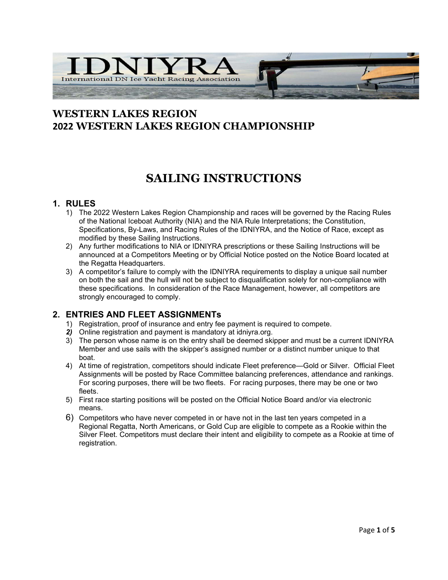

### **WESTERN LAKES REGION 2022 WESTERN LAKES REGION CHAMPIONSHIP**

## **SAILING INSTRUCTIONS**

#### **1. RULES**

- 1) The 2022 Western Lakes Region Championship and races will be governed by the Racing Rules of the National Iceboat Authority (NIA) and the NIA Rule Interpretations; the Constitution, Specifications, By-Laws, and Racing Rules of the IDNIYRA, and the Notice of Race, except as modified by these Sailing Instructions.
- 2) Any further modifications to NIA or IDNIYRA prescriptions or these Sailing Instructions will be announced at a Competitors Meeting or by Official Notice posted on the Notice Board located at the Regatta Headquarters.
- 3) A competitor's failure to comply with the IDNIYRA requirements to display a unique sail number on both the sail and the hull will not be subject to disqualification solely for non-compliance with these specifications. In consideration of the Race Management, however, all competitors are strongly encouraged to comply.

#### **2. ENTRIES AND FLEET ASSIGNMENTs**

- 1) Registration, proof of insurance and entry fee payment is required to compete.
- *2)* Online registration and payment is mandatory at idniyra.org.
- 3) The person whose name is on the entry shall be deemed skipper and must be a current IDNIYRA Member and use sails with the skipper's assigned number or a distinct number unique to that boat.
- 4) At time of registration, competitors should indicate Fleet preference—Gold or Silver. Official Fleet Assignments will be posted by Race Committee balancing preferences, attendance and rankings. For scoring purposes, there will be two fleets. For racing purposes, there may be one or two fleets.
- 5) First race starting positions will be posted on the Official Notice Board and/or via electronic means.
- 6) Competitors who have never competed in or have not in the last ten years competed in a Regional Regatta, North Americans, or Gold Cup are eligible to compete as a Rookie within the Silver Fleet. Competitors must declare their intent and eligibility to compete as a Rookie at time of registration.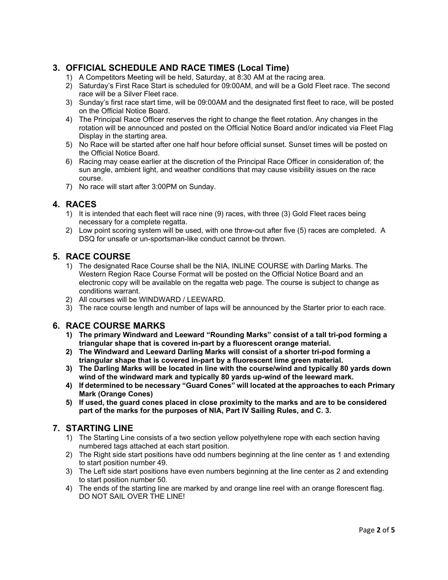#### **3. OFFICIAL SCHEDULE AND RACE TIMES (Local Time)**

- 1) A Competitors Meeting will be held, Saturday, at 8:30 AM at the racing area.
- 2) Saturday's First Race Start is scheduled for 09:00AM, and will be a Gold Fleet race. The second race will be a Silver Fleet race.
- 3) Sunday's first race start time, will be 09:00AM and the designated first fleet to race, will be posted on the Official Notice Board.
- 4) The Principal Race Officer reserves the right to change the fleet rotation. Any changes in the rotation will be announced and posted on the Official Notice Board and/or indicated via Fleet Flag Display in the starting area.
- 5) No Race will be started after one half hour before official sunset. Sunset times will be posted on the Official Notice Board.
- 6) Racing may cease earlier at the discretion of the Principal Race Officer in consideration of; the sun angle, ambient light, and weather conditions that may cause visibility issues on the race course.
- 7) No race will start after 3:00PM on Sunday.

#### **4. RACES**

- 1) It is intended that each fleet will race nine (9) races, with three (3) Gold Fleet races being necessary for a complete regatta.
- 2) Low point scoring system will be used, with one throw-out after five (5) races are completed. A DSQ for unsafe or un-sportsman-like conduct cannot be thrown.

#### **5. RACE COURSE**

- 1) The designated Race Course shall be the NIA, INLINE COURSE with Darling Marks. The Western Region Race Course Format will be posted on the Official Notice Board and an electronic copy will be available on the regatta web page. The course is subject to change as conditions warrant.
- 2) All courses will be WINDWARD / LEEWARD.
- 3) The race course length and number of laps will be announced by the Starter prior to each race.

#### **6. RACE COURSE MARKS**

- **1) The primary Windward and Leeward "Rounding Marks" consist of a tall tri-pod forming a triangular shape that is covered in-part by a fluorescent orange material.**
- **2) The Windward and Leeward Darling Marks will consist of a shorter tri-pod forming a triangular shape that is covered in-part by a fluorescent lime green material.**
- **3) The Darling Marks will be located in line with the course/wind and typically 80 yards down wind of the windward mark and typically 80 yards up-wind of the leeward mark.**
- **4) If determined to be necessary "Guard Cones" will located at the approaches to each Primary Mark (Orange Cones)**
- **5) If used, the guard cones placed in close proximity to the marks and are to be considered part of the marks for the purposes of NIA, Part IV Sailing Rules, and C. 3.**

#### **7. STARTING LINE**

- 1) The Starting Line consists of a two section yellow polyethylene rope with each section having numbered tags attached at each start position.
- 2) The Right side start positions have odd numbers beginning at the line center as 1 and extending to start position number 49.
- 3) The Left side start positions have even numbers beginning at the line center as 2 and extending to start position number 50.
- 4) The ends of the starting line are marked by and orange line reel with an orange florescent flag. DO NOT SAIL OVER THE LINE!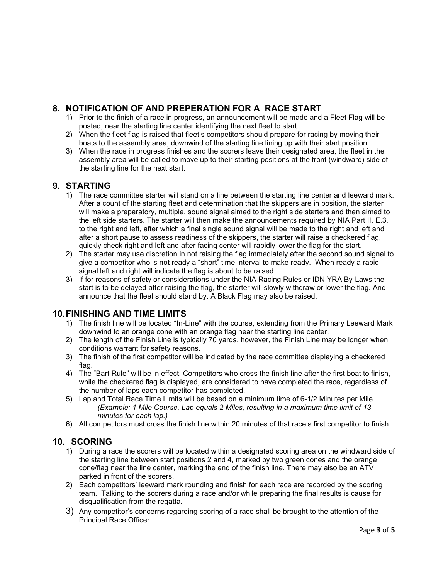#### **8. NOTIFICATION OF AND PREPERATION FOR A RACE START**

- 1) Prior to the finish of a race in progress, an announcement will be made and a Fleet Flag will be posted, near the starting line center identifying the next fleet to start.
- 2) When the fleet flag is raised that fleet's competitors should prepare for racing by moving their boats to the assembly area, downwind of the starting line lining up with their start position.
- 3) When the race in progress finishes and the scorers leave their designated area, the fleet in the assembly area will be called to move up to their starting positions at the front (windward) side of the starting line for the next start.

#### **9. STARTING**

- 1) The race committee starter will stand on a line between the starting line center and leeward mark. After a count of the starting fleet and determination that the skippers are in position, the starter will make a preparatory, multiple, sound signal aimed to the right side starters and then aimed to the left side starters. The starter will then make the announcements required by NIA Part II, E.3. to the right and left, after which a final single sound signal will be made to the right and left and after a short pause to assess readiness of the skippers, the starter will raise a checkered flag, quickly check right and left and after facing center will rapidly lower the flag for the start.
- 2) The starter may use discretion in not raising the flag immediately after the second sound signal to give a competitor who is not ready a "short" time interval to make ready. When ready a rapid signal left and right will indicate the flag is about to be raised.
- 3) If for reasons of safety or considerations under the NIA Racing Rules or IDNIYRA By-Laws the start is to be delayed after raising the flag, the starter will slowly withdraw or lower the flag. And announce that the fleet should stand by. A Black Flag may also be raised.

#### **10.FINISHING AND TIME LIMITS**

- 1) The finish line will be located "In-Line" with the course, extending from the Primary Leeward Mark downwind to an orange cone with an orange flag near the starting line center.
- 2) The length of the Finish Line is typically 70 yards, however, the Finish Line may be longer when conditions warrant for safety reasons.
- 3) The finish of the first competitor will be indicated by the race committee displaying a checkered flag.
- 4) The "Bart Rule" will be in effect. Competitors who cross the finish line after the first boat to finish, while the checkered flag is displayed, are considered to have completed the race, regardless of the number of laps each competitor has completed.
- 5) Lap and Total Race Time Limits will be based on a minimum time of 6-1/2 Minutes per Mile. *(Example: 1 Mile Course, Lap equals 2 Miles, resulting in a maximum time limit of 13 minutes for each lap.)*
- 6) All competitors must cross the finish line within 20 minutes of that race's first competitor to finish.

#### **10. SCORING**

- 1) During a race the scorers will be located within a designated scoring area on the windward side of the starting line between start positions 2 and 4, marked by two green cones and the orange cone/flag near the line center, marking the end of the finish line. There may also be an ATV parked in front of the scorers.
- 2) Each competitors' leeward mark rounding and finish for each race are recorded by the scoring team. Talking to the scorers during a race and/or while preparing the final results is cause for disqualification from the regatta.
- 3) Any competitor's concerns regarding scoring of a race shall be brought to the attention of the Principal Race Officer.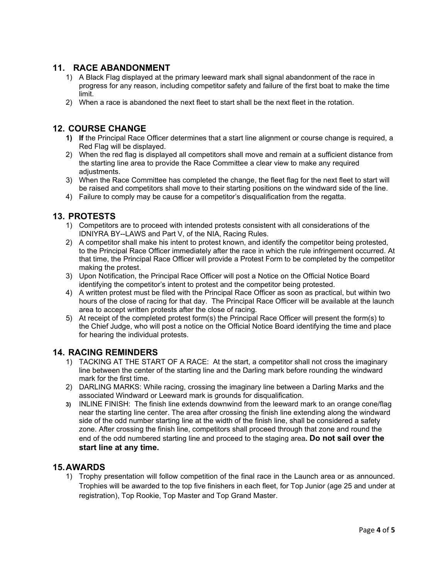#### **11. RACE ABANDONMENT**

- 1) A Black Flag displayed at the primary leeward mark shall signal abandonment of the race in progress for any reason, including competitor safety and failure of the first boat to make the time limit.
- 2) When a race is abandoned the next fleet to start shall be the next fleet in the rotation.

#### **12. COURSE CHANGE**

- **1) If** the Principal Race Officer determines that a start line alignment or course change is required, a Red Flag will be displayed.
- 2) When the red flag is displayed all competitors shall move and remain at a sufficient distance from the starting line area to provide the Race Committee a clear view to make any required adiustments.
- 3) When the Race Committee has completed the change, the fleet flag for the next fleet to start will be raised and competitors shall move to their starting positions on the windward side of the line.
- 4) Failure to comply may be cause for a competitor's disqualification from the regatta.

#### **13. PROTESTS**

- 1) Competitors are to proceed with intended protests consistent with all considerations of the IDNIYRA BY--LAWS and Part V, of the NIA, Racing Rules.
- 2) A competitor shall make his intent to protest known, and identify the competitor being protested, to the Principal Race Officer immediately after the race in which the rule infringement occurred. At that time, the Principal Race Officer will provide a Protest Form to be completed by the competitor making the protest.
- 3) Upon Notification, the Principal Race Officer will post a Notice on the Official Notice Board identifying the competitor's intent to protest and the competitor being protested.
- 4) A written protest must be filed with the Principal Race Officer as soon as practical, but within two hours of the close of racing for that day. The Principal Race Officer will be available at the launch area to accept written protests after the close of racing.
- 5) At receipt of the completed protest form(s) the Principal Race Officer will present the form(s) to the Chief Judge, who will post a notice on the Official Notice Board identifying the time and place for hearing the individual protests.

#### **14. RACING REMINDERS**

- 1) TACKING AT THE START OF A RACE: At the start, a competitor shall not cross the imaginary line between the center of the starting line and the Darling mark before rounding the windward mark for the first time.
- 2) DARLING MARKS: While racing, crossing the imaginary line between a Darling Marks and the associated Windward or Leeward mark is grounds for disqualification.
- **3)** INLINE FINISH: The finish line extends downwind from the leeward mark to an orange cone/flag near the starting line center. The area after crossing the finish line extending along the windward side of the odd number starting line at the width of the finish line, shall be considered a safety zone. After crossing the finish line, competitors shall proceed through that zone and round the end of the odd numbered starting line and proceed to the staging area**. Do not sail over the start line at any time.**

#### **15.AWARDS**

1) Trophy presentation will follow competition of the final race in the Launch area or as announced. Trophies will be awarded to the top five finishers in each fleet, for Top Junior (age 25 and under at registration), Top Rookie, Top Master and Top Grand Master.